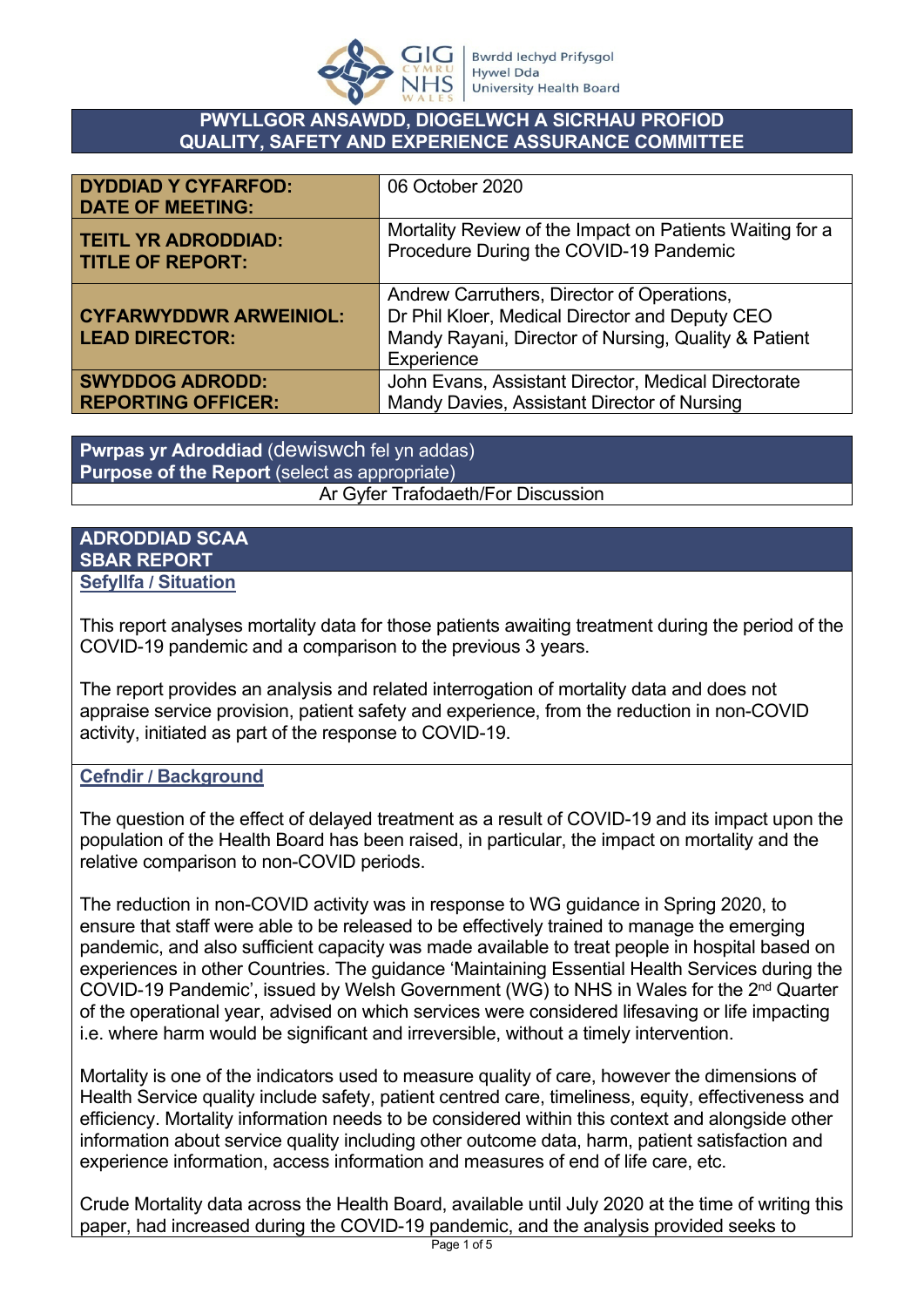

### **PWYLLGOR ANSAWDD, DIOGELWCH A SICRHAU PROFIOD QUALITY, SAFETY AND EXPERIENCE ASSURANCE COMMITTEE**

| <b>DYDDIAD Y CYFARFOD:</b><br><b>DATE OF MEETING:</b>  | 06 October 2020                                                                                                                                                    |
|--------------------------------------------------------|--------------------------------------------------------------------------------------------------------------------------------------------------------------------|
| <b>TEITL YR ADRODDIAD:</b>                             | Mortality Review of the Impact on Patients Waiting for a                                                                                                           |
| <b>TITLE OF REPORT:</b>                                | Procedure During the COVID-19 Pandemic                                                                                                                             |
| <b>CYFARWYDDWR ARWEINIOL:</b><br><b>LEAD DIRECTOR:</b> | Andrew Carruthers, Director of Operations,<br>Dr Phil Kloer, Medical Director and Deputy CEO<br>Mandy Rayani, Director of Nursing, Quality & Patient<br>Experience |
| <b>SWYDDOG ADRODD:</b>                                 | John Evans, Assistant Director, Medical Directorate                                                                                                                |
| <b>REPORTING OFFICER:</b>                              | Mandy Davies, Assistant Director of Nursing                                                                                                                        |

**Pwrpas yr Adroddiad** (dewiswch fel yn addas) **Purpose of the Report** (select as appropriate) Ar Gyfer Trafodaeth/For Discussion

#### **ADRODDIAD SCAA SBAR REPORT Sefyllfa / Situation**

This report analyses mortality data for those patients awaiting treatment during the period of the COVID-19 pandemic and a comparison to the previous 3 years.

The report provides an analysis and related interrogation of mortality data and does not appraise service provision, patient safety and experience, from the reduction in non-COVID activity, initiated as part of the response to COVID-19.

## **Cefndir / Background**

The question of the effect of delayed treatment as a result of COVID-19 and its impact upon the population of the Health Board has been raised, in particular, the impact on mortality and the relative comparison to non-COVID periods.

The reduction in non-COVID activity was in response to WG guidance in Spring 2020, to ensure that staff were able to be released to be effectively trained to manage the emerging pandemic, and also sufficient capacity was made available to treat people in hospital based on experiences in other Countries. The guidance 'Maintaining Essential Health Services during the COVID-19 Pandemic', issued by Welsh Government (WG) to NHS in Wales for the 2nd Quarter of the operational year, advised on which services were considered lifesaving or life impacting i.e. where harm would be significant and irreversible, without a timely intervention.

Mortality is one of the indicators used to measure quality of care, however the dimensions of Health Service quality include safety, patient centred care, timeliness, equity, effectiveness and efficiency. Mortality information needs to be considered within this context and alongside other information about service quality including other outcome data, harm, patient satisfaction and experience information, access information and measures of end of life care, etc.

Crude Mortality data across the Health Board, available until July 2020 at the time of writing this paper, had increased during the COVID-19 pandemic, and the analysis provided seeks to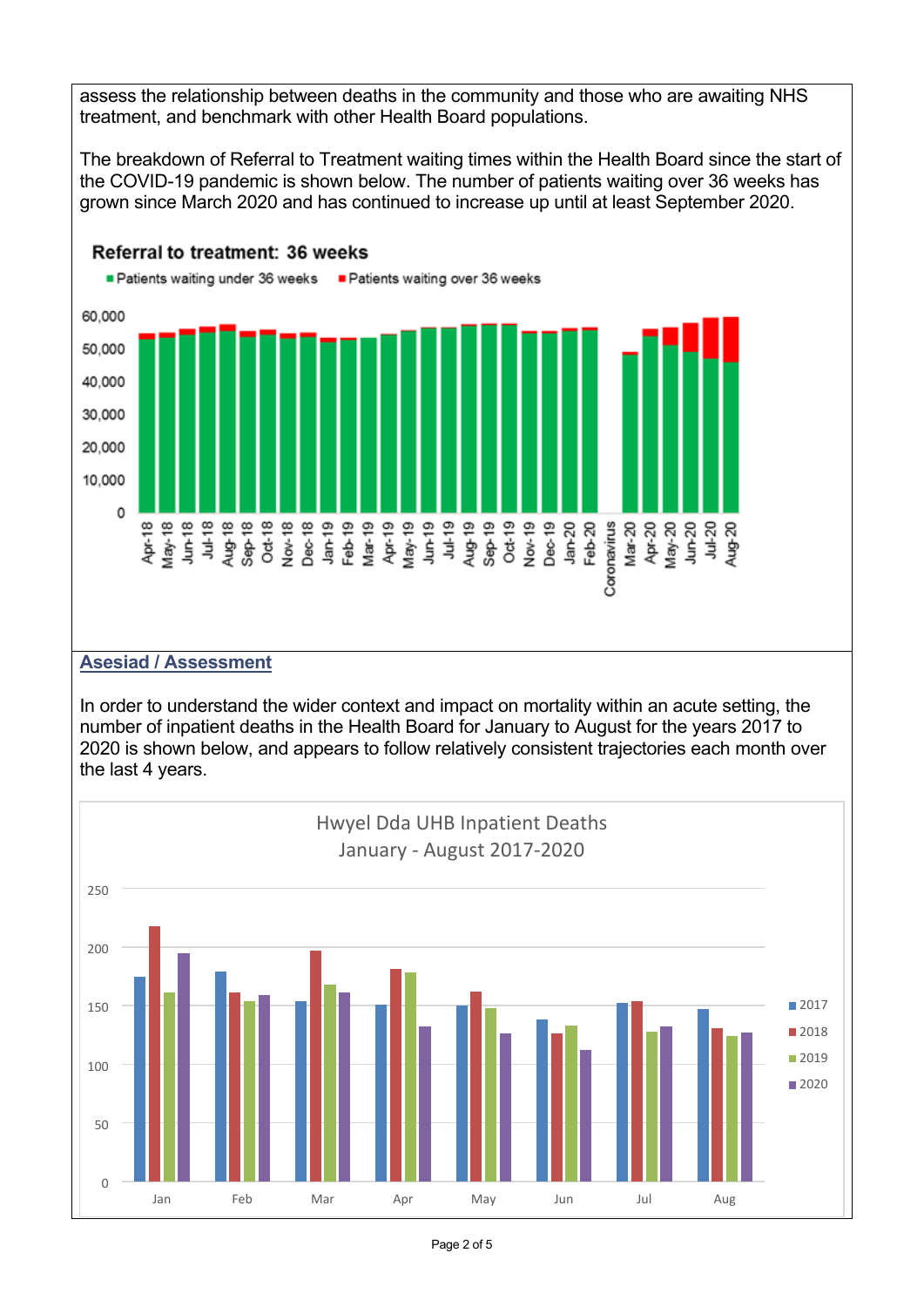assess the relationship between deaths in the community and those who are awaiting NHS treatment, and benchmark with other Health Board populations.

The breakdown of Referral to Treatment waiting times within the Health Board since the start of the COVID-19 pandemic is shown below. The number of patients waiting over 36 weeks has grown since March 2020 and has continued to increase up until at least September 2020.



#### Referral to treatment: 36 weeks

#### **Asesiad / Assessment**

In order to understand the wider context and impact on mortality within an acute setting, the number of inpatient deaths in the Health Board for January to August for the years 2017 to 2020 is shown below, and appears to follow relatively consistent trajectories each month over the last 4 years.

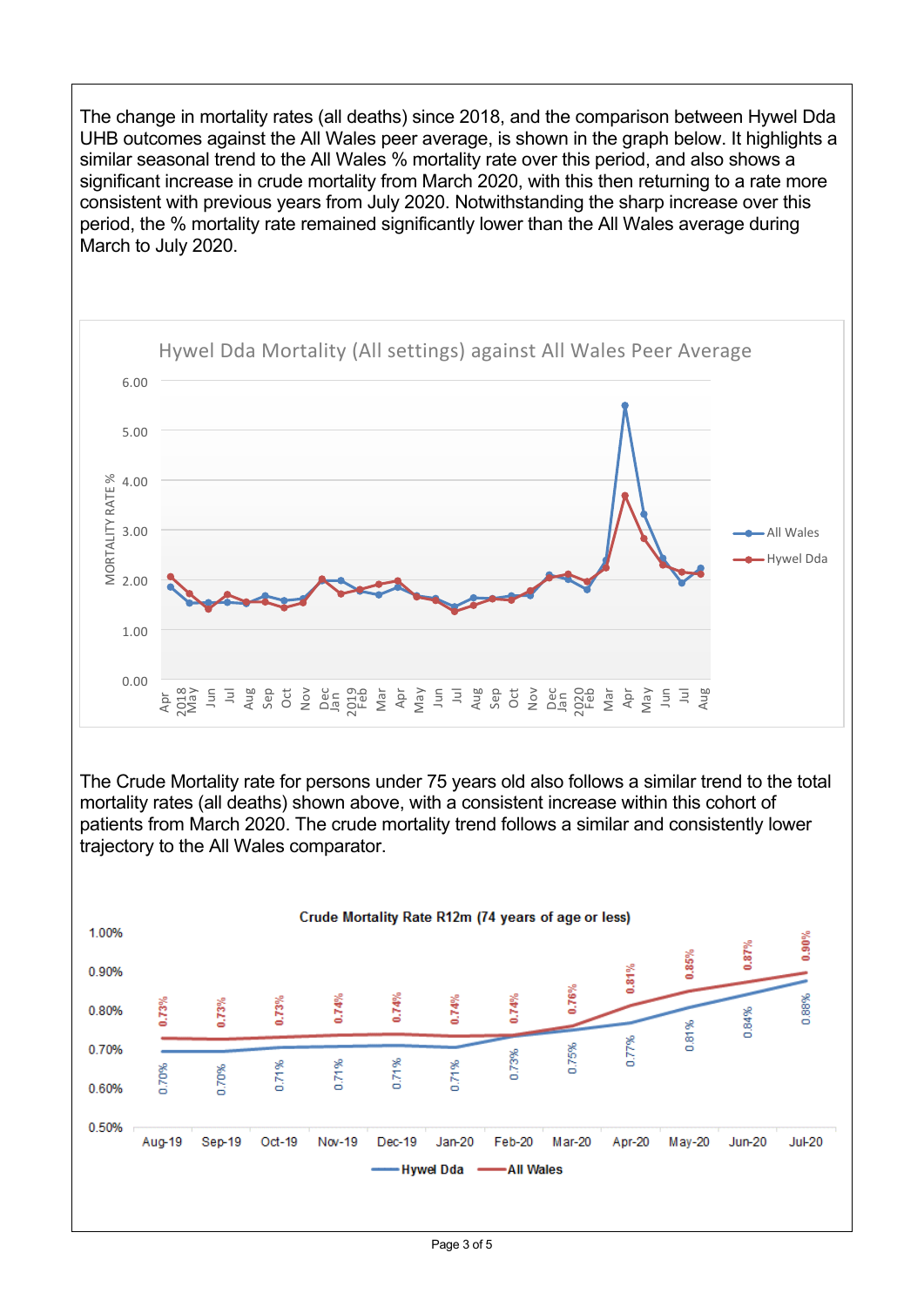The change in mortality rates (all deaths) since 2018, and the comparison between Hywel Dda UHB outcomes against the All Wales peer average, is shown in the graph below. It highlights a similar seasonal trend to the All Wales % mortality rate over this period, and also shows a significant increase in crude mortality from March 2020, with this then returning to a rate more consistent with previous years from July 2020. Notwithstanding the sharp increase over this period, the % mortality rate remained significantly lower than the All Wales average during March to July 2020.



The Crude Mortality rate for persons under 75 years old also follows a similar trend to the total mortality rates (all deaths) shown above, with a consistent increase within this cohort of patients from March 2020. The crude mortality trend follows a similar and consistently lower trajectory to the All Wales comparator.

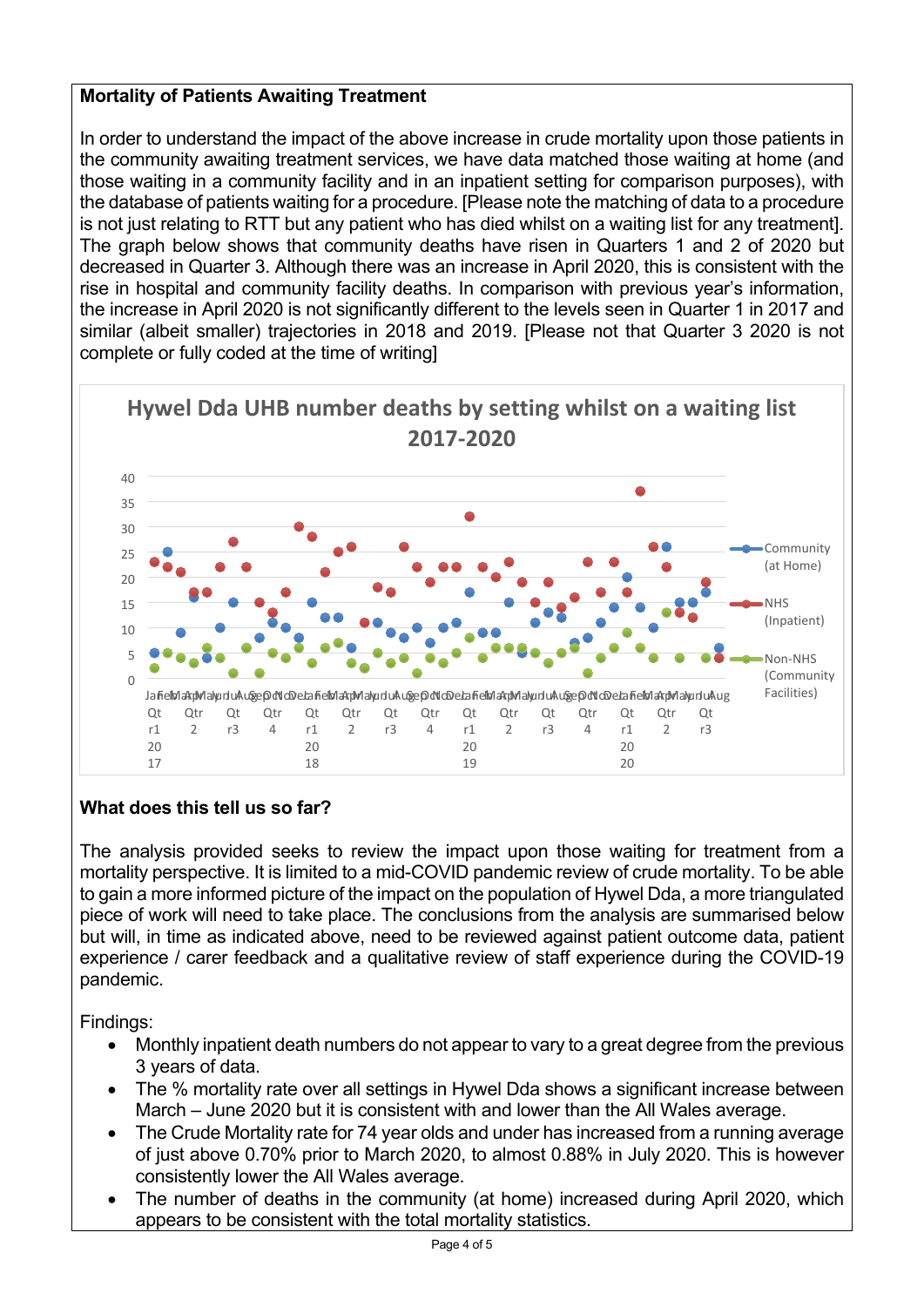# **Mortality of Patients Awaiting Treatment**

In order to understand the impact of the above increase in crude mortality upon those patients in the community awaiting treatment services, we have data matched those waiting at home (and those waiting in a community facility and in an inpatient setting for comparison purposes), with the database of patients waiting for a procedure. [Please note the matching of data to a procedure is not just relating to RTT but any patient who has died whilst on a waiting list for any treatment]. The graph below shows that community deaths have risen in Quarters 1 and 2 of 2020 but decreased in Quarter 3. Although there was an increase in April 2020, this is consistent with the rise in hospital and community facility deaths. In comparison with previous year's information, the increase in April 2020 is not significantly different to the levels seen in Quarter 1 in 2017 and similar (albeit smaller) trajectories in 2018 and 2019. [Please not that Quarter 3 2020 is not complete or fully coded at the time of writing]



# **What does this tell us so far?**

The analysis provided seeks to review the impact upon those waiting for treatment from a mortality perspective. It is limited to a mid-COVID pandemic review of crude mortality. To be able to gain a more informed picture of the impact on the population of Hywel Dda, a more triangulated piece of work will need to take place. The conclusions from the analysis are summarised below but will, in time as indicated above, need to be reviewed against patient outcome data, patient experience / carer feedback and a qualitative review of staff experience during the COVID-19 pandemic.

Findings:

- Monthly inpatient death numbers do not appear to vary to a great degree from the previous 3 years of data.
- The % mortality rate over all settings in Hywel Dda shows a significant increase between March – June 2020 but it is consistent with and lower than the All Wales average.
- The Crude Mortality rate for 74 year olds and under has increased from a running average of just above 0.70% prior to March 2020, to almost 0.88% in July 2020. This is however consistently lower the All Wales average.
- The number of deaths in the community (at home) increased during April 2020, which appears to be consistent with the total mortality statistics.